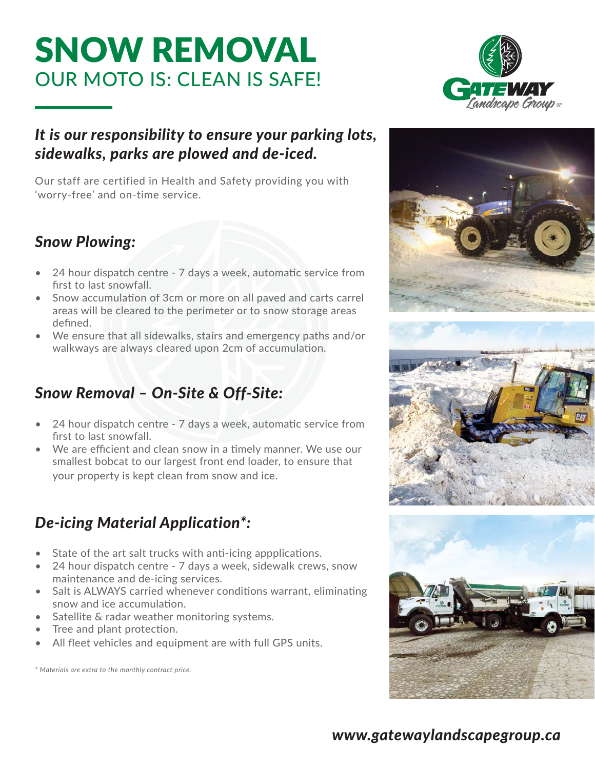### SNOW REMOVAL OUR MOTO IS: CLEAN IS SAFE!

### *It is our responsibility to ensure your parking lots, sidewalks, parks are plowed and de-iced.*

Our staff are certified in Health and Safety providing you with 'worry-free' and on-time service.

### *Snow Plowing:*

- $\bullet$  24 hour dispatch centre 7 days a week, automatic service from first to last snowfall.
- Snow accumulation of 3cm or more on all paved and carts carrel areas will be cleared to the perimeter or to snow storage areas defined.
- We ensure that all sidewalks, stairs and emergency paths and/or walkways are always cleared upon 2cm of accumulation.

### *Snow Removal – On-Site & Off-Site:*

- $\bullet$  24 hour dispatch centre 7 days a week, automatic service from first to last snowfall.
- We are efficient and clean snow in a timely manner. We use our smallest bobcat to our largest front end loader, to ensure that your property is kept clean from snow and ice.

### *De-icing Material Application\*:*

- State of the art salt trucks with anti-icing appplications.
- 24 hour dispatch centre 7 days a week, sidewalk crews, snow maintenance and de-icing services.
- Salt is ALWAYS carried whenever conditions warrant, eliminating snow and ice accumulation.
- Satellite & radar weather monitoring systems.
- Tree and plant protection.
- All fleet vehicles and equipment are with full GPS units.

*\* Materials are extra to the monthly contract price.*



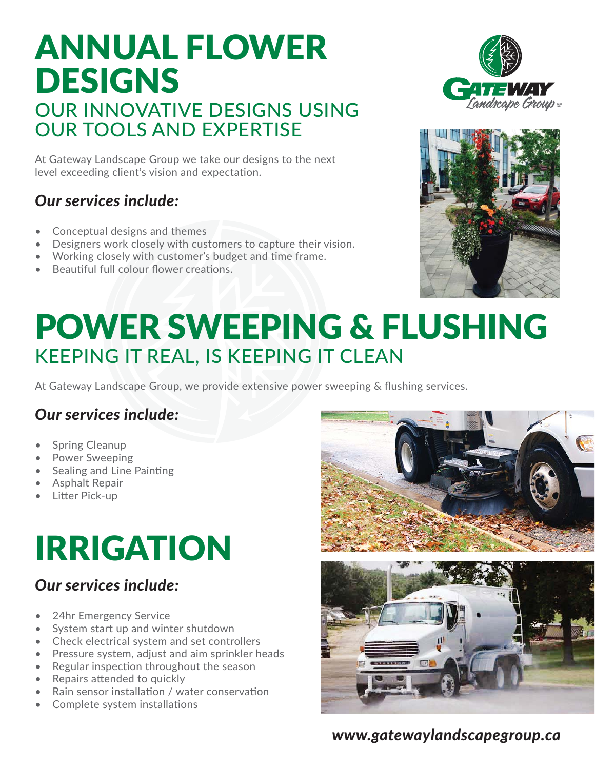### ANNUAL FLOWER DESIGNS OUR INNOVATIVE DESIGNS USING OUR TOOLS AND EXPERTISE

At Gateway Landscape Group we take our designs to the next level exceeding client's vision and expectation.

### *Our services include:*

- Conceptual designs and themes
- Designers work closely with customers to capture their vision.
- Working closely with customer's budget and time frame.
- Beautiful full colour flower creations.





## POWER SWEEPING & FLUSHING KEEPING IT REAL, IS KEEPING IT CLEAN

At Gateway Landscape Group, we provide extensive power sweeping & flushing services.

### *Our services include:*

- Spring Cleanup
- Power Sweeping
- **Sealing and Line Painting**
- Asphalt Repair
- Litter Pick-up

# IRRIGATION

### *Our services include:*

- 24hr Emergency Service
- System start up and winter shutdown
- Check electrical system and set controllers
- Pressure system, adjust and aim sprinkler heads
- Regular inspection throughout the season
- Repairs attended to quickly
- Rain sensor installation / water conservation
- Complete system installations



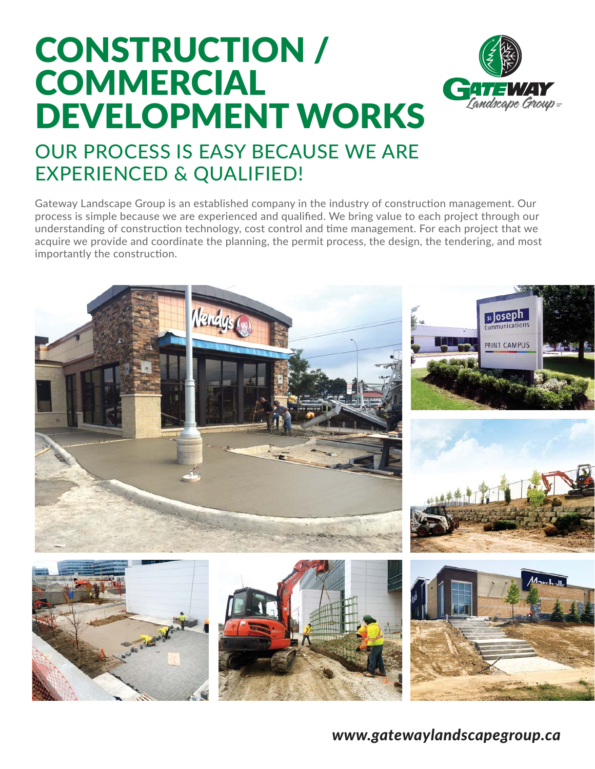## CONSTRUCTION / COMMERCIAL DEVELOPMENT WORKS



### OUR PROCESS IS EASY BECAUSE WE ARE EXPERIENCED & QUALIFIED!

Gateway Landscape Group is an established company in the industry of construction management. Our process is simple because we are experienced and qualified. We bring value to each project through our understanding of construction technology, cost control and time management. For each project that we acquire we provide and coordinate the planning, the permit process, the design, the tendering, and most importantly the construction.

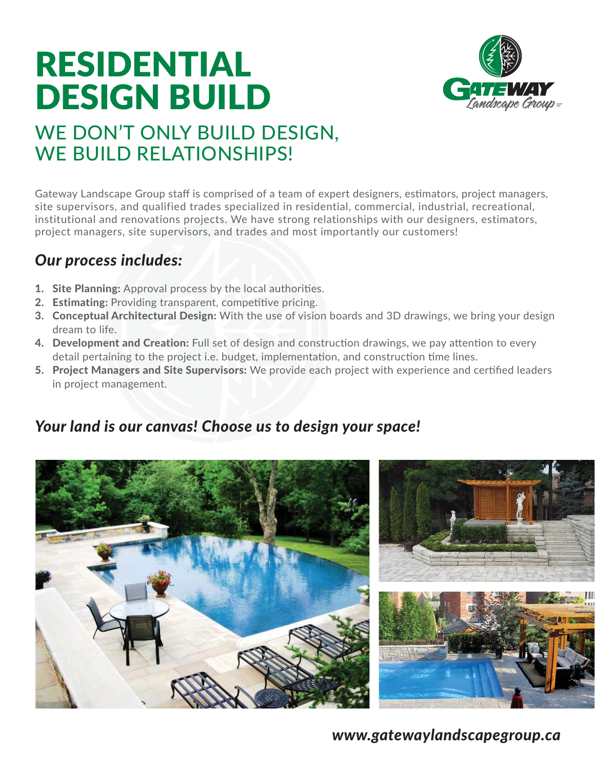## RESIDENTIAL DESIGN BUILD



### WE DON'T ONLY BUILD DESIGN, WE BUILD RELATIONSHIPS!

Gateway Landscape Group staff is comprised of a team of expert designers, estimators, project managers, site supervisors, and qualified trades specialized in residential, commercial, industrial, recreational, institutional and renovations projects. We have strong relationships with our designers, estimators, project managers, site supervisors, and trades and most importantly our customers!

### *Our process includes:*

- 1. Site Planning: Approval process by the local authorities.
- 2. Estimating: Providing transparent, competitive pricing.
- **3. Conceptual Architectural Design:** With the use of vision boards and 3D drawings, we bring your design dream to life.
- 4. Development and Creation: Full set of design and construction drawings, we pay attention to every detail pertaining to the project i.e. budget, implementation, and construction time lines.
- 5. Project Managers and Site Supervisors: We provide each project with experience and certified leaders in project management.

### *Your land is our canvas! Choose us to design your space!*